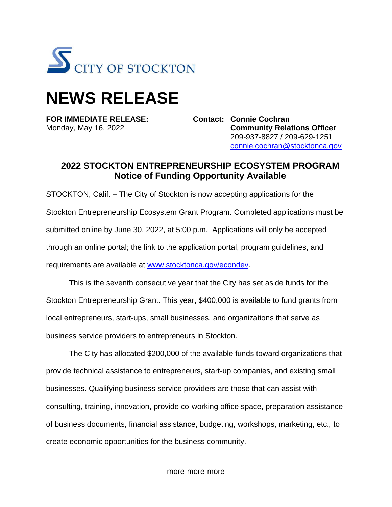

## **NEWS RELEASE**

**FOR IMMEDIATE RELEASE: Contact: Connie Cochran**

Monday, May 16, 2022 **Community Relations Officer** 209-937-8827 / 209-629-1251 [connie.cochran@stocktonca.gov](file:///C:/Users/ccochran/AppData/Local/Microsoft/Windows/INetCache/Content.Outlook/6R8ZV0GU/connie.cochran@stocktonca.gov)

## **2022 STOCKTON ENTREPRENEURSHIP ECOSYSTEM PROGRAM Notice of Funding Opportunity Available**

STOCKTON, Calif. – The City of Stockton is now accepting applications for the Stockton Entrepreneurship Ecosystem Grant Program. Completed applications must be submitted online by June 30, 2022, at 5:00 p.m. Applications will only be accepted through an online portal; the link to the application portal, program guidelines, and requirements are available at [www.stocktonca.gov/econdev.](http://www.stocktonca.gov/econdev)

This is the seventh consecutive year that the City has set aside funds for the Stockton Entrepreneurship Grant. This year, \$400,000 is available to fund grants from local entrepreneurs, start-ups, small businesses, and organizations that serve as business service providers to entrepreneurs in Stockton.

The City has allocated \$200,000 of the available funds toward organizations that provide technical assistance to entrepreneurs, start-up companies, and existing small businesses. Qualifying business service providers are those that can assist with consulting, training, innovation, provide co-working office space, preparation assistance of business documents, financial assistance, budgeting, workshops, marketing, etc., to create economic opportunities for the business community.